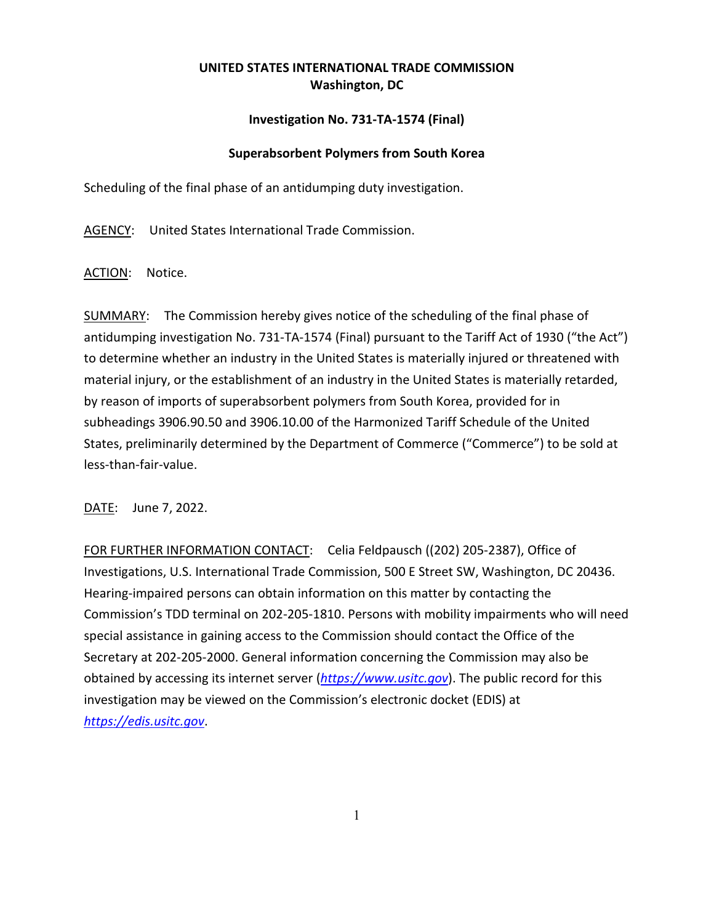## **UNITED STATES INTERNATIONAL TRADE COMMISSION Washington, DC**

## **Investigation No. 731-TA-1574 (Final)**

## **Superabsorbent Polymers from South Korea**

Scheduling of the final phase of an antidumping duty investigation.

AGENCY: United States International Trade Commission.

ACTION: Notice.

SUMMARY: The Commission hereby gives notice of the scheduling of the final phase of antidumping investigation No. 731-TA-1574 (Final) pursuant to the Tariff Act of 1930 ("the Act") to determine whether an industry in the United States is materially injured or threatened with material injury, or the establishment of an industry in the United States is materially retarded, by reason of imports of superabsorbent polymers from South Korea, provided for in subheadings 3906.90.50 and 3906.10.00 of the Harmonized Tariff Schedule of the United States, preliminarily determined by the Department of Commerce ("Commerce") to be sold at less-than-fair-value.

DATE: June 7, 2022.

FOR FURTHER INFORMATION CONTACT: Celia Feldpausch ((202) 205-2387), Office of Investigations, U.S. International Trade Commission, 500 E Street SW, Washington, DC 20436. Hearing-impaired persons can obtain information on this matter by contacting the Commission's TDD terminal on 202-205-1810. Persons with mobility impairments who will need special assistance in gaining access to the Commission should contact the Office of the Secretary at 202-205-2000. General information concerning the Commission may also be obtained by accessing its internet server (*[https://www.usitc.gov](https://www.usitc.gov/)*). The public record for this investigation may be viewed on the Commission's electronic docket (EDIS) at *[https://edis.usitc.gov](https://edis.usitc.gov/)*.

1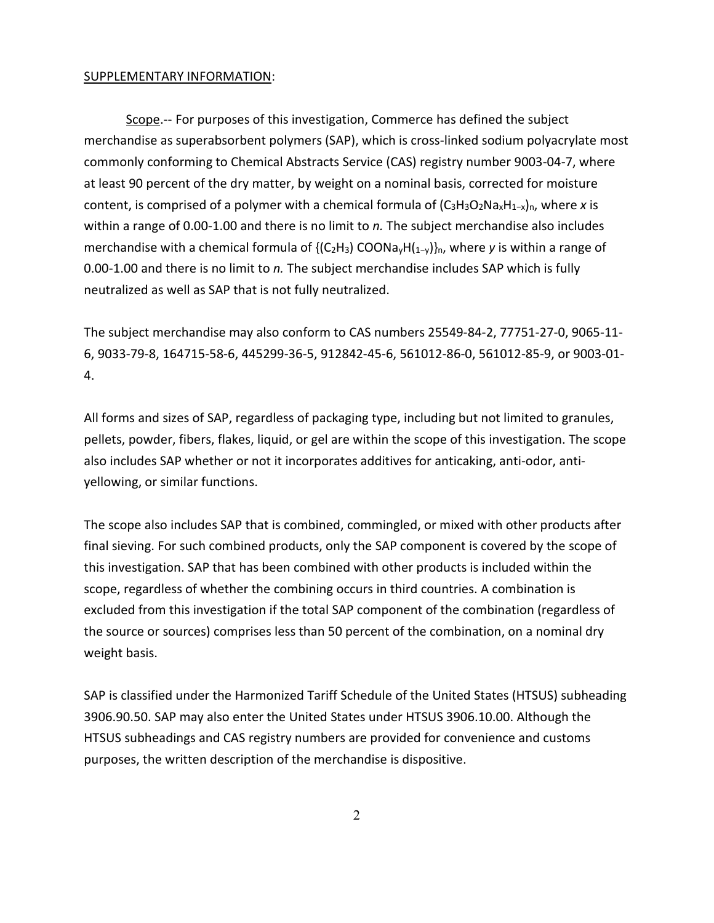## SUPPLEMENTARY INFORMATION:

Scope.-- For purposes of this investigation, Commerce has defined the subject merchandise as superabsorbent polymers (SAP), which is cross-linked sodium polyacrylate most commonly conforming to Chemical Abstracts Service (CAS) registry number 9003-04-7, where at least 90 percent of the dry matter, by weight on a nominal basis, corrected for moisture content, is comprised of a polymer with a chemical formula of (C3H3O2NaxH1−x)n, where *x* is within a range of 0.00-1.00 and there is no limit to *n.* The subject merchandise also includes merchandise with a chemical formula of {(C<sub>2</sub>H<sub>3</sub>) COONa<sub>v</sub>H(<sub>1-y</sub>)}<sub>n</sub>, where *y* is within a range of 0.00-1.00 and there is no limit to *n.* The subject merchandise includes SAP which is fully neutralized as well as SAP that is not fully neutralized.

The subject merchandise may also conform to CAS numbers 25549-84-2, 77751-27-0, 9065-11- 6, 9033-79-8, 164715-58-6, 445299-36-5, 912842-45-6, 561012-86-0, 561012-85-9, or 9003-01- 4.

All forms and sizes of SAP, regardless of packaging type, including but not limited to granules, pellets, powder, fibers, flakes, liquid, or gel are within the scope of this investigation. The scope also includes SAP whether or not it incorporates additives for anticaking, anti-odor, antiyellowing, or similar functions.

The scope also includes SAP that is combined, commingled, or mixed with other products after final sieving. For such combined products, only the SAP component is covered by the scope of this investigation. SAP that has been combined with other products is included within the scope, regardless of whether the combining occurs in third countries. A combination is excluded from this investigation if the total SAP component of the combination (regardless of the source or sources) comprises less than 50 percent of the combination, on a nominal dry weight basis.

SAP is classified under the Harmonized Tariff Schedule of the United States (HTSUS) subheading 3906.90.50. SAP may also enter the United States under HTSUS 3906.10.00. Although the HTSUS subheadings and CAS registry numbers are provided for convenience and customs purposes, the written description of the merchandise is dispositive.

2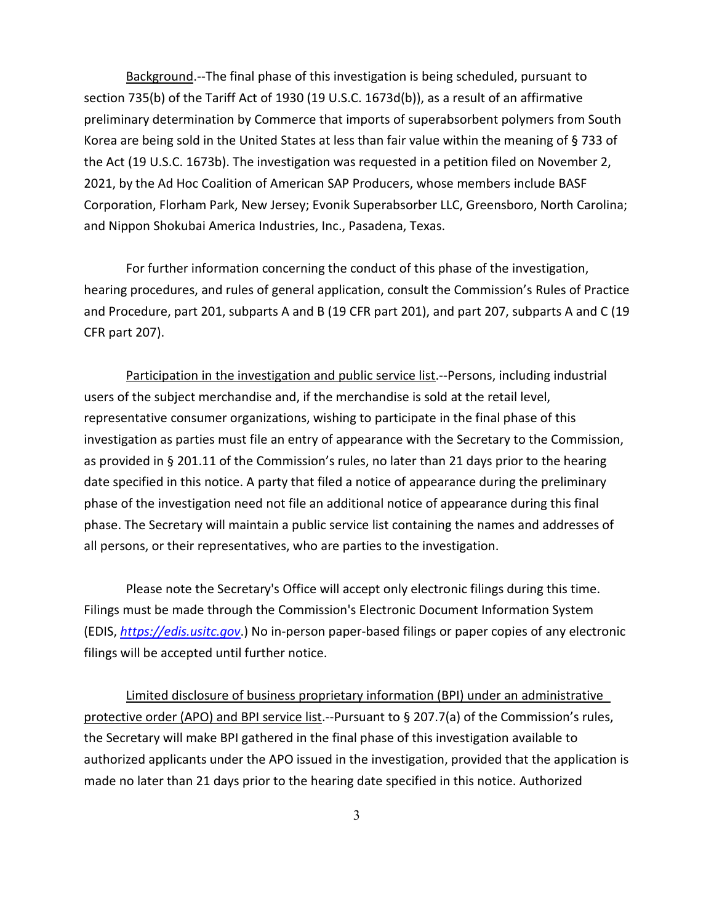Background.--The final phase of this investigation is being scheduled, pursuant to section 735(b) of the Tariff Act of 1930 (19 U.S.C. 1673d(b)), as a result of an affirmative preliminary determination by Commerce that imports of superabsorbent polymers from South Korea are being sold in the United States at less than fair value within the meaning of § 733 of the Act (19 U.S.C. 1673b). The investigation was requested in a petition filed on November 2, 2021, by the Ad Hoc Coalition of American SAP Producers, whose members include BASF Corporation, Florham Park, New Jersey; Evonik Superabsorber LLC, Greensboro, North Carolina; and Nippon Shokubai America Industries, Inc., Pasadena, Texas.

For further information concerning the conduct of this phase of the investigation, hearing procedures, and rules of general application, consult the Commission's Rules of Practice and Procedure, part 201, subparts A and B (19 CFR part 201), and part 207, subparts A and C (19 CFR part 207).

Participation in the investigation and public service list.--Persons, including industrial users of the subject merchandise and, if the merchandise is sold at the retail level, representative consumer organizations, wishing to participate in the final phase of this investigation as parties must file an entry of appearance with the Secretary to the Commission, as provided in § 201.11 of the Commission's rules, no later than 21 days prior to the hearing date specified in this notice. A party that filed a notice of appearance during the preliminary phase of the investigation need not file an additional notice of appearance during this final phase. The Secretary will maintain a public service list containing the names and addresses of all persons, or their representatives, who are parties to the investigation.

Please note the Secretary's Office will accept only electronic filings during this time. Filings must be made through the Commission's Electronic Document Information System (EDIS, *[https://edis.usitc.gov](https://edis.usitc.gov/)*.) No in-person paper-based filings or paper copies of any electronic filings will be accepted until further notice.

Limited disclosure of business proprietary information (BPI) under an administrative protective order (APO) and BPI service list.--Pursuant to § 207.7(a) of the Commission's rules, the Secretary will make BPI gathered in the final phase of this investigation available to authorized applicants under the APO issued in the investigation, provided that the application is made no later than 21 days prior to the hearing date specified in this notice. Authorized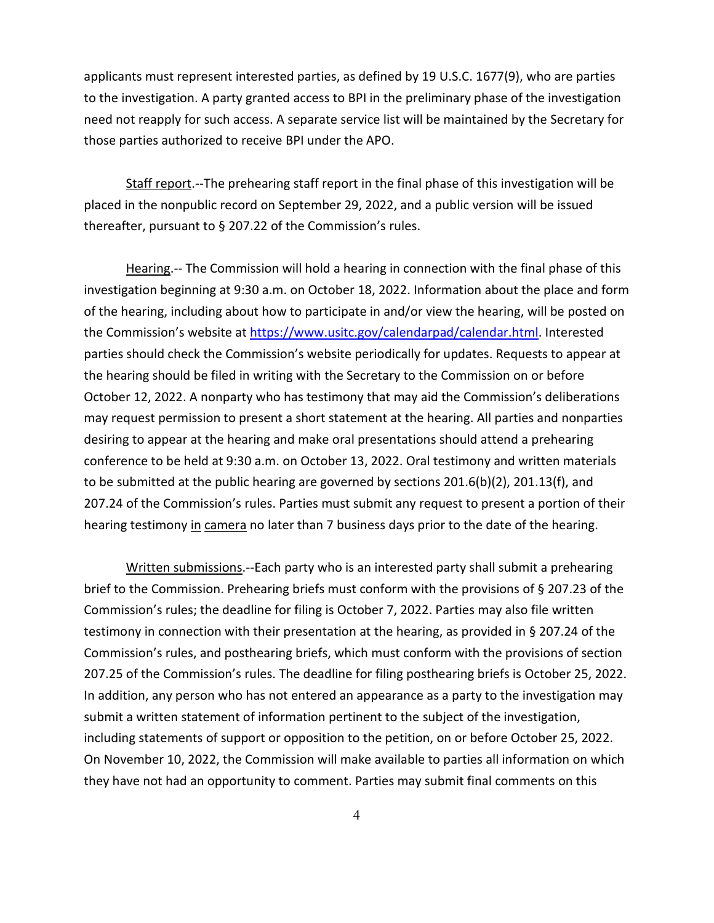applicants must represent interested parties, as defined by 19 U.S.C. 1677(9), who are parties to the investigation. A party granted access to BPI in the preliminary phase of the investigation need not reapply for such access. A separate service list will be maintained by the Secretary for those parties authorized to receive BPI under the APO.

Staff report.--The prehearing staff report in the final phase of this investigation will be placed in the nonpublic record on September 29, 2022, and a public version will be issued thereafter, pursuant to § 207.22 of the Commission's rules.

Hearing.-- The Commission will hold a hearing in connection with the final phase of this investigation beginning at 9:30 a.m. on October 18, 2022. Information about the place and form of the hearing, including about how to participate in and/or view the hearing, will be posted on the Commission's website at [https://www.usitc.gov/calendarpad/calendar.html.](https://www.usitc.gov/calendarpad/calendar.html) Interested parties should check the Commission's website periodically for updates. Requests to appear at the hearing should be filed in writing with the Secretary to the Commission on or before October 12, 2022. A nonparty who has testimony that may aid the Commission's deliberations may request permission to present a short statement at the hearing. All parties and nonparties desiring to appear at the hearing and make oral presentations should attend a prehearing conference to be held at 9:30 a.m. on October 13, 2022. Oral testimony and written materials to be submitted at the public hearing are governed by sections 201.6(b)(2), 201.13(f), and 207.24 of the Commission's rules. Parties must submit any request to present a portion of their hearing testimony in camera no later than 7 business days prior to the date of the hearing.

Written submissions.--Each party who is an interested party shall submit a prehearing brief to the Commission. Prehearing briefs must conform with the provisions of § 207.23 of the Commission's rules; the deadline for filing is October 7, 2022. Parties may also file written testimony in connection with their presentation at the hearing, as provided in § 207.24 of the Commission's rules, and posthearing briefs, which must conform with the provisions of section 207.25 of the Commission's rules. The deadline for filing posthearing briefs is October 25, 2022. In addition, any person who has not entered an appearance as a party to the investigation may submit a written statement of information pertinent to the subject of the investigation, including statements of support or opposition to the petition, on or before October 25, 2022. On November 10, 2022, the Commission will make available to parties all information on which they have not had an opportunity to comment. Parties may submit final comments on this